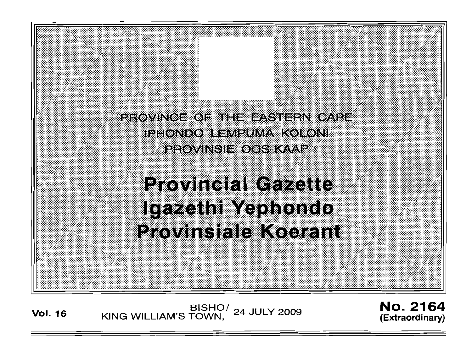

# **Provincial Gazette** Igazethi Yephondo Provinsiale Koerant

BISHO / 24 JULY 2009 **No. 2164**<br>Extraordinary KING WILLIAM'S TOWN, 24 JULY 2009

**(Extraordinary)**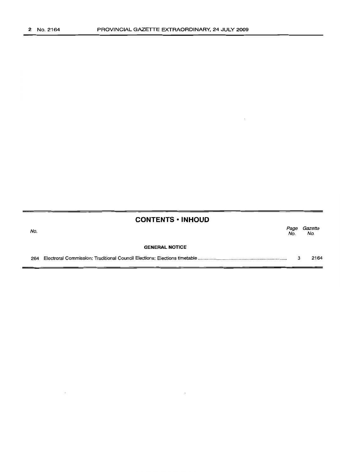|     | <b>CONTENTS • INHOUD</b> |             |                |
|-----|--------------------------|-------------|----------------|
| No. |                          | Page<br>No. | Gazette<br>No. |
|     | <b>GENERAL NOTICE</b>    |             |                |
| 264 |                          |             | 2164           |